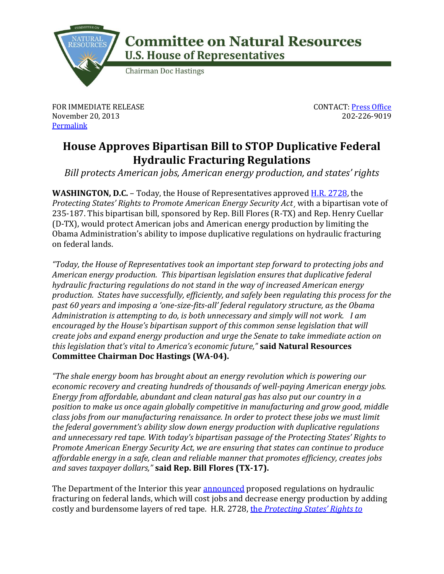

## **Committee on Natural Resources U.S. House of Representatives**

**Chairman Doc Hastings** 

FOR IMMEDIATE RELEASE November 20, 2013 **[Permalink](http://naturalresources.house.gov/news/documentsingle.aspx?DocumentID=362408)** 

CONTACT: [Press Office](http://naturalresources.house.gov/contact/media.htm) 202-226-9019

## **House Approves Bipartisan Bill to STOP Duplicative Federal Hydraulic Fracturing Regulations**

*Bill protects American jobs, American energy production, and states' rights*

**WASHINGTON, D.C.** – Today, the House of Representatives approved [H.R. 2728,](http://thomas.loc.gov/home/gpoxmlc113/h2728_ih.xml) the *Protecting States' Rights to Promote American Energy Security Act*¸ with a bipartisan vote of 235-187. This bipartisan bill, sponsored by Rep. Bill Flores (R-TX) and Rep. Henry Cuellar (D-TX), would protect American jobs and American energy production by limiting the Obama Administration's ability to impose duplicative regulations on hydraulic fracturing on federal lands.

*"Today, the House of Representatives took an important step forward to protecting jobs and American energy production. This bipartisan legislation ensures that duplicative federal hydraulic fracturing regulations do not stand in the way of increased American energy production. States have successfully, efficiently, and safely been regulating this process for the past 60 years and imposing a 'one-size-fits-all' federal regulatory structure, as the Obama Administration is attempting to do, is both unnecessary and simply will not work. I am encouraged by the House's bipartisan support of this common sense legislation that will create jobs and expand energy production and urge the Senate to take immediate action on this legislation that's vital to America's economic future,"* **said Natural Resources Committee Chairman Doc Hastings (WA-04).**

*"The shale energy boom has brought about an energy revolution which is powering our economic recovery and creating hundreds of thousands of well-paying American energy jobs. Energy from affordable, abundant and clean natural gas has also put our country in a position to make us once again globally competitive in manufacturing and grow good, middle class jobs from our manufacturing renaissance. In order to protect these jobs we must limit the federal government's ability slow down energy production with duplicative regulations and unnecessary red tape. With today's bipartisan passage of the Protecting States' Rights to Promote American Energy Security Act, we are ensuring that states can continue to produce affordable energy in a safe, clean and reliable manner that promotes efficiency, creates jobs and saves taxpayer dollars,"* **said Rep. Bill Flores (TX-17).**

The Department of the Interior this year [announced](http://naturalresources.house.gov/news/documentsingle.aspx?DocumentID=334242) proposed regulations on hydraulic fracturing on federal lands, which will cost jobs and decrease energy production by adding costly and burdensome layers of red tape. H.R. 2728, the *[Protecting States' Rights to](http://naturalresources.house.gov/legislation/?legislationid=344593)*